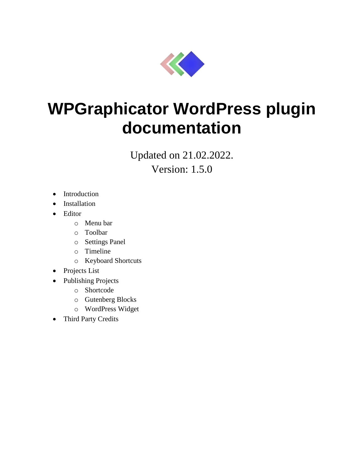

# **WPGraphicator WordPress plugin documentation**

Updated on 21.02.2022.

Version: 1.5.0

- Introduction
- Installation
- Editor
	- o Menu bar
	- o Toolbar
	- o Settings Panel
	- o Timeline
	- o Keyboard Shortcuts
- Projects List
- Publishing Projects
	- o Shortcode
	- o Gutenberg Blocks
	- o WordPress Widget
- Third Party Credits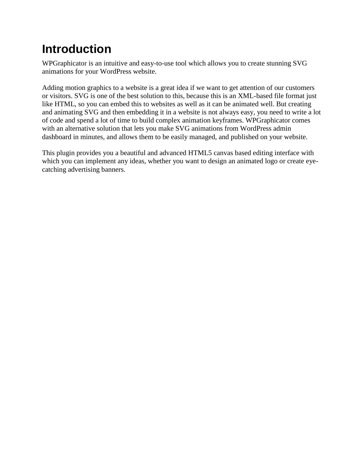## **Introduction**

WPGraphicator is an intuitive and easy-to-use tool which allows you to create stunning SVG animations for your WordPress website.

Adding motion graphics to a website is a great idea if we want to get attention of our customers or visitors. SVG is one of the best solution to this, because this is an XML-based file format just like HTML, so you can embed this to websites as well as it can be animated well. But creating and animating SVG and then embedding it in a website is not always easy, you need to write a lot of code and spend a lot of time to build complex animation keyframes. WPGraphicator comes with an alternative solution that lets you make SVG animations from WordPress admin dashboard in minutes, and allows them to be easily managed, and published on your website.

This plugin provides you a beautiful and advanced HTML5 canvas based editing interface with which you can implement any ideas, whether you want to design an animated logo or create eyecatching advertising banners.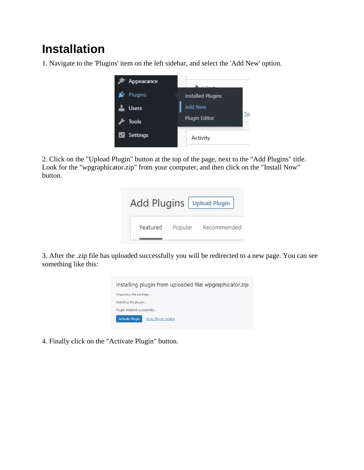## **Installation**

1. Navigate to the 'Plugins' item on the left sidebar, and select the 'Add New' option.



2. Click on the "Upload Plugin" button at the top of the page, next to the "Add Plugins" title. Look for the "wpgraphicator.zip" from your computer, and then click on the "Install Now" button.

|          |         | Add Plugins   Upload Plugin |
|----------|---------|-----------------------------|
| Featured | Popular | Recommended                 |

3. After the .zip file has uploaded successfully you will be redirected to a new page. You can see something like this:



4. Finally click on the "Activate Plugin" button.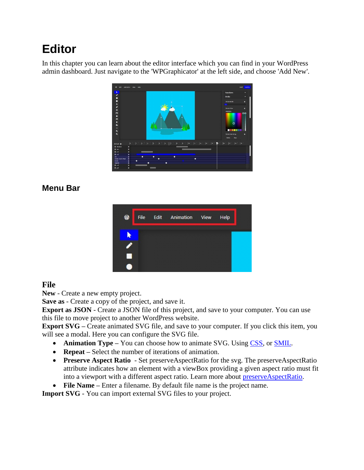## **Editor**

In this chapter you can learn about the editor interface which you can find in your WordPress admin dashboard. Just navigate to the 'WPGraphicator' at the left side, and choose 'Add New'.



## **Menu Bar**



#### **File**

**New** - Create a new empty project.

**Save as** - Create a copy of the project, and save it.

**Export as JSON** - Create a JSON file of this project, and save to your computer. You can use this file to move project to another WordPress website.

**Export SVG –** Create animated SVG file, and save to your computer. If you click this item, you will see a modal. Here you can configure the SVG file.

- **Animation Type –** You can choose how to animate SVG. Using [CSS,](https://developer.mozilla.org/en-US/docs/Web/CSS/CSS_Animations/Using_CSS_animations) or [SMIL.](https://developer.mozilla.org/en-US/docs/Web/SVG/SVG_animation_with_SMIL)
- **Repeat –** Select the number of iterations of animation.
- **Preserve Aspect Ratio** Set preserveAspectRatio for the svg. The preserveAspectRatio attribute indicates how an element with a viewBox providing a given aspect ratio must fit into a viewport with a different aspect ratio. Learn more about [preserveAspectRatio.](https://developer.mozilla.org/en-US/docs/Web/SVG/Attribute/preserveAspectRatio)
- **File Name –** Enter a filename. By default file name is the project name.

**Import SVG** - You can import external SVG files to your project.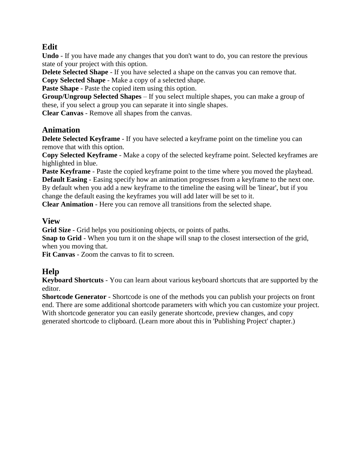### **Edit**

**Undo** - If you have made any changes that you don't want to do, you can restore the previous state of your project with this option.

**Delete Selected Shape** - If you have selected a shape on the canvas you can remove that. **Copy Selected Shape** - Make a copy of a selected shape.

**Paste Shape** - Paste the copied item using this option.

**Group/Ungroup Selected Shapes** – If you select multiple shapes, you can make a group of these, if you select a group you can separate it into single shapes.

**Clear Canvas** - Remove all shapes from the canvas.

#### **Animation**

**Delete Selected Keyframe** - If you have selected a keyframe point on the timeline you can remove that with this option.

**Copy Selected Keyframe** - Make a copy of the selected keyframe point. Selected keyframes are highlighted in blue.

**Paste Keyframe** - Paste the copied keyframe point to the time where you moved the playhead. **Default Easing** - Easing specify how an animation progresses from a keyframe to the next one. By default when you add a new keyframe to the timeline the easing will be 'linear', but if you

change the default easing the keyframes you will add later will be set to it.

**Clear Animation** - Here you can remove all transitions from the selected shape.

#### **View**

**Grid Size** - Grid helps you positioning objects, or points of paths.

**Snap to Grid** - When you turn it on the shape will snap to the closest intersection of the grid, when you moving that.

**Fit Canvas** - Zoom the canvas to fit to screen.

## **Help**

**Keyboard Shortcuts** - You can learn about various keyboard shortcuts that are supported by the editor.

**Shortcode Generator** - Shortcode is one of the methods you can publish your projects on front end. There are some additional shortcode parameters with which you can customize your project. With shortcode generator you can easily generate shortcode, preview changes, and copy generated shortcode to clipboard. (Learn more about this in 'Publishing Project' chapter.)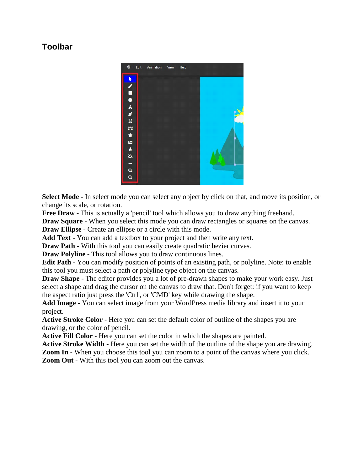### **Toolbar**



**Select Mode** - In select mode you can select any object by click on that, and move its position, or change its scale, or rotation.

**Free Draw** - This is actually a 'pencil' tool which allows you to draw anything freehand.

**Draw Square** - When you select this mode you can draw rectangles or squares on the canvas.

**Draw Ellipse** - Create an ellipse or a circle with this mode.

**Add Text** - You can add a textbox to your project and then write any text.

**Draw Path** - With this tool you can easily create quadratic bezier curves.

**Draw Polyline** - This tool allows you to draw continuous lines.

**Edit Path** - You can modify position of points of an existing path, or polyline. Note: to enable this tool you must select a path or polyline type object on the canvas.

**Draw Shape** - The editor provides you a lot of pre-drawn shapes to make your work easy. Just select a shape and drag the cursor on the canvas to draw that. Don't forget: if you want to keep the aspect ratio just press the 'Ctrl', or 'CMD' key while drawing the shape.

**Add Image** - You can select image from your WordPress media library and insert it to your project.

**Active Stroke Color** - Here you can set the default color of outline of the shapes you are drawing, or the color of pencil.

**Active Fill Color** - Here you can set the color in which the shapes are painted.

**Active Stroke Width** - Here you can set the width of the outline of the shape you are drawing. **Zoom In** - When you choose this tool you can zoom to a point of the canvas where you click. **Zoom Out** - With this tool you can zoom out the canvas.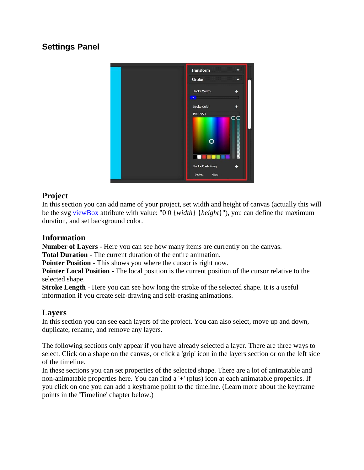## **Settings Panel**



### **Project**

In this section you can add name of your project, set width and height of canvas (actually this will be the svg [viewBox](https://developer.mozilla.org/en-US/docs/Web/SVG/Attribute/viewBox) attribute with value: "0 0 {*width*} {*height*}"), you can define the maximum duration, and set background color.

### **Information**

**Number of Layers** - Here you can see how many items are currently on the canvas.

**Total Duration** - The current duration of the entire animation.

**Pointer Position** - This shows you where the cursor is right now.

**Pointer Local Position** - The local position is the current position of the cursor relative to the selected shape.

**Stroke Length** - Here you can see how long the stroke of the selected shape. It is a useful information if you create self-drawing and self-erasing animations.

#### **Layers**

In this section you can see each layers of the project. You can also select, move up and down, duplicate, rename, and remove any layers.

The following sections only appear if you have already selected a layer. There are three ways to select. Click on a shape on the canvas, or click a 'grip' icon in the layers section or on the left side of the timeline.

In these sections you can set properties of the selected shape. There are a lot of animatable and non-animatable properties here. You can find a '+' (plus) icon at each animatable properties. If you click on one you can add a keyframe point to the timeline. (Learn more about the keyframe points in the 'Timeline' chapter below.)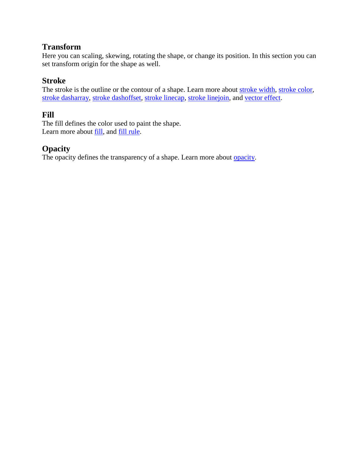### **Transform**

Here you can scaling, skewing, rotating the shape, or change its position. In this section you can set transform origin for the shape as well.

### **Stroke**

The stroke is the outline or the contour of a shape. Learn more about [stroke width,](https://developer.mozilla.org/en-US/docs/Web/SVG/Attribute/stroke-width) [stroke color,](https://developer.mozilla.org/en-US/docs/Web/SVG/Attribute/stroke) [stroke dasharray,](https://developer.mozilla.org/en-US/docs/Web/SVG/Attribute/stroke-dasharray) [stroke dashoffset,](https://developer.mozilla.org/en-US/docs/Web/SVG/Attribute/stroke-dashoffset) [stroke linecap,](https://developer.mozilla.org/en-US/docs/Web/SVG/Attribute/stroke-linecap) [stroke linejoin,](https://developer.mozilla.org/en-US/docs/Web/SVG/Attribute/stroke-linejoin) and [vector effect.](https://developer.mozilla.org/en-US/docs/Web/SVG/Attribute/vector-effect)

#### **Fill**

The fill defines the color used to paint the shape. Learn more about **fill**, and **fill rule**.

#### **Opacity**

The opacity defines the transparency of a shape. Learn more about <u>opacity</u>.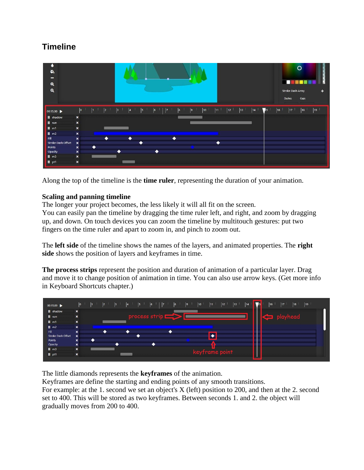## **Timeline**

| ٠<br>♦.<br>$\overline{\phantom{0}}$<br>$\mathbf{a}$<br>$\mathbf{Q}$ |                       |             |           |              |                 |                      |   |   |           |   |              |            |    |    |    |             |              | Stroke Dash Array<br>Dashes | $\circ$<br>Gaps |    |  |
|---------------------------------------------------------------------|-----------------------|-------------|-----------|--------------|-----------------|----------------------|---|---|-----------|---|--------------|------------|----|----|----|-------------|--------------|-----------------------------|-----------------|----|--|
| $00:15.00$ $\blacktriangleright$                                    | 0                     | $ 1\rangle$ | 2         | <sub>3</sub> | $\vert 4 \vert$ | $\vert$ <sub>5</sub> | 6 | 7 | $\vert$ 8 | 9 | $ 10\rangle$ | $\vert$ 11 | 12 | 13 | 14 | $\sqrt{15}$ | $ 16\rangle$ | 17                          | 18              | 19 |  |
| <b>II</b> shadow                                                    | $\pmb{\times}$        |             |           |              |                 |                      |   |   |           |   |              |            |    |    |    |             |              |                             |                 |    |  |
| $\mathbf{H}$ sun                                                    | $\pmb{\times}$        |             |           |              |                 |                      |   |   |           |   |              |            |    |    |    |             |              |                             |                 |    |  |
| $H$ m1                                                              | $\pmb{\times}$        |             |           |              |                 |                      |   |   |           |   |              |            |    |    |    |             |              |                             |                 |    |  |
| $H$ m2                                                              | $\pmb{\times}$        |             |           |              |                 |                      |   |   |           |   |              |            |    |    |    |             |              |                             |                 |    |  |
| Fill                                                                | $\pmb{\times}$        |             | $\bullet$ |              | $\bullet$       |                      |   |   | ٠         |   |              |            |    |    |    |             |              |                             |                 |    |  |
| Stroke Dash Offset                                                  | $\pmb{\times}$        |             |           |              |                 |                      |   |   |           |   |              |            |    |    |    |             |              |                             |                 |    |  |
| Points                                                              | $\pmb{\times}$        | ●           |           |              |                 |                      |   |   |           |   |              |            |    |    |    |             |              |                             |                 |    |  |
| Opacity                                                             | $\pmb{\times}$        |             |           |              |                 |                      | ٠ |   |           |   |              |            |    |    |    |             |              |                             |                 |    |  |
| $H \text{ m3}$                                                      | $\boldsymbol{\times}$ |             |           |              |                 |                      |   |   |           |   |              |            |    |    |    |             |              |                             |                 |    |  |
| $H$ pt1                                                             | $\pmb{\times}$        |             |           |              |                 |                      |   |   |           |   |              |            |    |    |    |             |              |                             |                 |    |  |

Along the top of the timeline is the **time ruler**, representing the duration of your animation.

#### **Scaling and panning timeline**

The longer your project becomes, the less likely it will all fit on the screen.

You can easily pan the timeline by dragging the time ruler left, and right, and zoom by dragging up, and down. On touch devices you can zoom the timeline by multitouch gestures: put two fingers on the time ruler and apart to zoom in, and pinch to zoom out.

The **left side** of the timeline shows the names of the layers, and animated properties. The **right side** shows the position of layers and keyframes in time.

**The process strips** represent the position and duration of animation of a particular layer. Drag and move it to change position of animation in time. You can also use arrow keys. (Get more info in Keyboard Shortcuts chapter.)



The little diamonds represents the **keyframes** of the animation.

Keyframes are define the starting and ending points of any smooth transitions. For example: at the 1. second we set an object's X (left) position to 200, and then at the 2. second set to 400. This will be stored as two keyframes. Between seconds 1. and 2. the object will gradually moves from 200 to 400.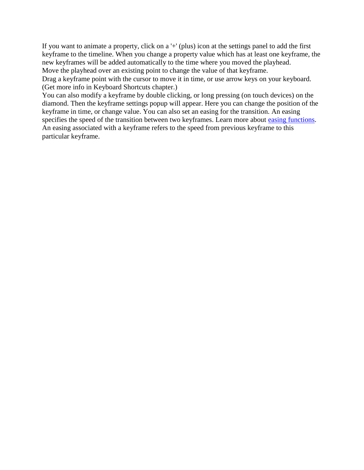If you want to animate a property, click on a '+' (plus) icon at the settings panel to add the first keyframe to the timeline. When you change a property value which has at least one keyframe, the new keyframes will be added automatically to the time where you moved the playhead. Move the playhead over an existing point to change the value of that keyframe.

Drag a keyframe point with the cursor to move it in time, or use arrow keys on your keyboard. (Get more info in Keyboard Shortcuts chapter.)

You can also modify a keyframe by double clicking, or long pressing (on touch devices) on the diamond. Then the keyframe settings popup will appear. Here you can change the position of the keyframe in time, or change value. You can also set an easing for the transition. An easing specifies the speed of the transition between two keyframes. Learn more about [easing functions.](https://easings.net/) An easing associated with a keyframe refers to the speed from previous keyframe to this particular keyframe.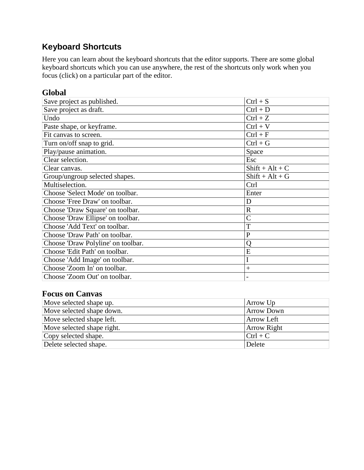## **Keyboard Shortcuts**

Here you can learn about the keyboard shortcuts that the editor supports. There are some global keyboard shortcuts which you can use anywhere, the rest of the shortcuts only work when you focus (click) on a particular part of the editor.

#### **Global**

| Save project as published.         | $Ctrl + S$        |
|------------------------------------|-------------------|
| Save project as draft.             | $Ctrl + D$        |
| Undo                               | $Ctrl + Z$        |
| Paste shape, or keyframe.          | $Ctrl + V$        |
| Fit canvas to screen.              | $Ctrl + F$        |
| Turn on/off snap to grid.          | $Ctrl + G$        |
| Play/pause animation.              | Space             |
| Clear selection.                   | Esc               |
| Clear canvas.                      | $Shift + Alt + C$ |
| Group/ungroup selected shapes.     | $Shift + Alt + G$ |
| Multiselection.                    | Ctrl              |
| Choose 'Select Mode' on toolbar.   | Enter             |
| Choose 'Free Draw' on toolbar.     | D                 |
| Choose 'Draw Square' on toolbar.   | $\mathbb{R}$      |
| Choose 'Draw Ellipse' on toolbar.  | $\overline{C}$    |
| Choose 'Add Text' on toolbar.      | T                 |
| Choose 'Draw Path' on toolbar.     | $\mathbf{P}$      |
| Choose 'Draw Polyline' on toolbar. | O                 |
| Choose 'Edit Path' on toolbar.     | E                 |
| Choose 'Add Image' on toolbar.     |                   |
| Choose 'Zoom In' on toolbar.       | $^{+}$            |
| Choose 'Zoom Out' on toolbar.      |                   |

#### **Focus on Canvas**

| Move selected shape up.    | Arrow Up           |
|----------------------------|--------------------|
| Move selected shape down.  | <b>Arrow Down</b>  |
| Move selected shape left.  | Arrow Left         |
| Move selected shape right. | <b>Arrow Right</b> |
| Copy selected shape.       | $ Ctrl + C$        |
| Delete selected shape.     | Delete             |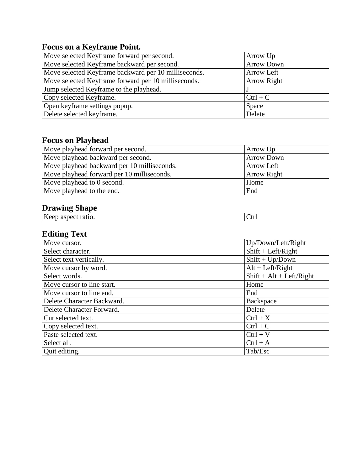## **Focus on a Keyframe Point.**

| Move selected Keyframe forward per second.           | Arrow Up          |
|------------------------------------------------------|-------------------|
| Move selected Keyframe backward per second.          | <b>Arrow Down</b> |
| Move selected Keyframe backward per 10 milliseconds. | Arrow Left        |
| Move selected Keyframe forward per 10 milliseconds.  | Arrow Right       |
| Jump selected Keyframe to the playhead.              |                   |
| Copy selected Keyframe.                              | $Ctrl + C$        |
| Open keyframe settings popup.                        | Space             |
| Delete selected keyframe.                            | Delete            |

## **Focus on Playhead**

| Move playhead forward per second.           | Arrow Up           |
|---------------------------------------------|--------------------|
| Move playhead backward per second.          | <b>Arrow Down</b>  |
| Move playhead backward per 10 milliseconds. | <b>Arrow Left</b>  |
| Move playhead forward per 10 milliseconds.  | <b>Arrow Right</b> |
| Move playhead to 0 second.                  | Home               |
| Move playhead to the end.                   | End                |

## **Drawing Shape**

| T<br>՝∔ա∙<br>-K eer | $P1$ u $n$ ms $P1$ mpv |  |
|---------------------|------------------------|--|
|                     |                        |  |

## **Editing Text**

| Move cursor.               | Up/Down/Left/Right         |
|----------------------------|----------------------------|
| Select character.          | $Shift + Left/Right$       |
| Select text vertically.    | $Shift + Up/Down$          |
| Move cursor by word.       | $Alt + Left/Right$         |
| Select words.              | $Shift + Alt + Left/Right$ |
| Move cursor to line start. | Home                       |
| Move cursor to line end.   | End                        |
| Delete Character Backward. | Backspace                  |
| Delete Character Forward.  | Delete                     |
| Cut selected text.         | $Ctrl + X$                 |
| Copy selected text.        | $Ctrl + C$                 |
| Paste selected text.       | $Ctrl + V$                 |
| Select all.                | $Ctrl + A$                 |
| Quit editing.              | Tab/Esc                    |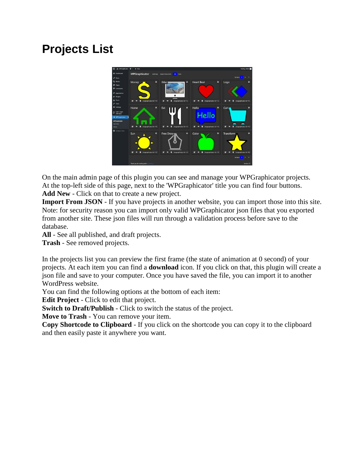## **Projects List**



On the main admin page of this plugin you can see and manage your WPGraphicator projects. At the top-left side of this page, next to the 'WPGraphicator' title you can find four buttons. **Add New** - Click on that to create a new project.

**Import From JSON** - If you have projects in another website, you can import those into this site. Note: for security reason you can import only valid WPGraphicator json files that you exported from another site. These json files will run through a validation process before save to the database.

**All** - See all published, and draft projects.

**Trash** - See removed projects.

In the projects list you can preview the first frame (the state of animation at 0 second) of your projects. At each item you can find a **download** icon. If you click on that, this plugin will create a json file and save to your computer. Once you have saved the file, you can import it to another WordPress website.

You can find the following options at the bottom of each item:

**Edit Project** - Click to edit that project.

**Switch to Draft/Publish** - Click to switch the status of the project.

**Move to Trash** - You can remove your item.

**Copy Shortcode to Clipboard** - If you click on the shortcode you can copy it to the clipboard and then easily paste it anywhere you want.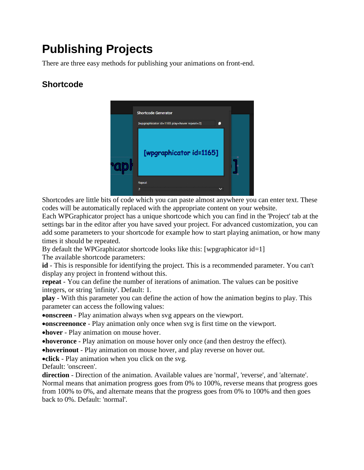## **Publishing Projects**

There are three easy methods for publishing your animations on front-end.

## **Shortcode**



Shortcodes are little bits of code which you can paste almost anywhere you can enter text. These codes will be automatically replaced with the appropriate content on your website.

Each WPGraphicator project has a unique shortcode which you can find in the 'Project' tab at the settings bar in the editor after you have saved your project. For advanced customization, you can add some parameters to your shortcode for example how to start playing animation, or how many times it should be repeated.

By default the WPGraphicator shortcode looks like this: [wpgraphicator id=1]

The available shortcode parameters:

**id** - This is responsible for identifying the project. This is a recommended parameter. You can't display any project in frontend without this.

**repeat** - You can define the number of iterations of animation. The values can be positive integers, or string 'infinity'. Default: 1.

**play** - With this parameter you can define the action of how the animation begins to play. This parameter can access the following values:

**onscreen** - Play animation always when svg appears on the viewport.

**onscreenonce** - Play animation only once when svg is first time on the viewport.

**hover** - Play animation on mouse hover.

**hoveronce** - Play animation on mouse hover only once (and then destroy the effect).

**hoverinout** - Play animation on mouse hover, and play reverse on hover out.

**click** - Play animation when you click on the svg.

Default: 'onscreen'.

**direction** - Direction of the animation. Available values are 'normal', 'reverse', and 'alternate'. Normal means that animation progress goes from 0% to 100%, reverse means that progress goes from 100% to 0%, and alternate means that the progress goes from 0% to 100% and then goes back to 0%. Default: 'normal'.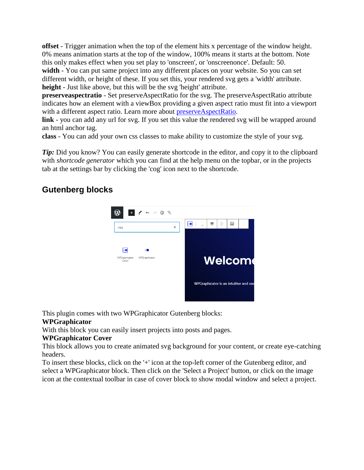**offset** - Trigger animation when the top of the element hits x percentage of the window height. 0% means animation starts at the top of the window, 100% means it starts at the bottom. Note this only makes effect when you set play to 'onscreen', or 'onscreenonce'. Default: 50. **width** - You can put same project into any different places on your website. So you can set different width, or height of these. If you set this, your rendered svg gets a 'width' attribute. **height** - Just like above, but this will be the svg 'height' attribute.

**preserveaspectratio** - Set preserveAspectRatio for the svg. The preserveAspectRatio attribute indicates how an element with a viewBox providing a given aspect ratio must fit into a viewport with a different aspect ratio. Learn more about [preserveAspectRatio.](https://developer.mozilla.org/en-US/docs/Web/SVG/Attribute/preserveAspectRatio)

link - you can add any url for svg. If you set this value the rendered svg will be wrapped around an html anchor tag.

**class** - You can add your own css classes to make ability to customize the style of your svg.

*Tip*: Did you know? You can easily generate shortcode in the editor, and copy it to the clipboard with *shortcode generator* which you can find at the help menu on the topbar, or in the projects tab at the settings bar by clicking the 'cog' icon next to the shortcode.

## **Gutenberg blocks**



This plugin comes with two WPGraphicator Gutenberg blocks:

#### **WPGraphicator**

With this block you can easily insert projects into posts and pages.

#### **WPGraphicator Cover**

This block allows you to create animated svg background for your content, or create eye-catching headers.

To insert these blocks, click on the '+' icon at the top-left corner of the Gutenberg editor, and select a WPGraphicator block. Then click on the 'Select a Project' button, or click on the image icon at the contextual toolbar in case of cover block to show modal window and select a project.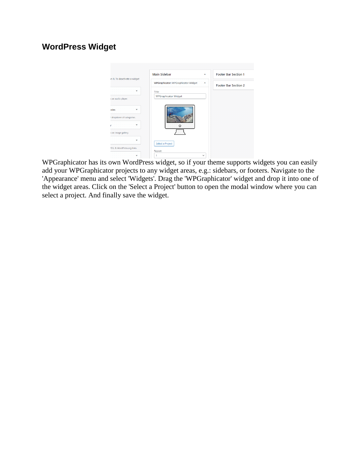### **WordPress Widget**



WPGraphicator has its own WordPress widget, so if your theme supports widgets you can easily add your WPGraphicator projects to any widget areas, e.g.: sidebars, or footers. Navigate to the 'Appearance' menu and select 'Widgets'. Drag the 'WPGraphicator' widget and drop it into one of the widget areas. Click on the 'Select a Project' button to open the modal window where you can select a project. And finally save the widget.